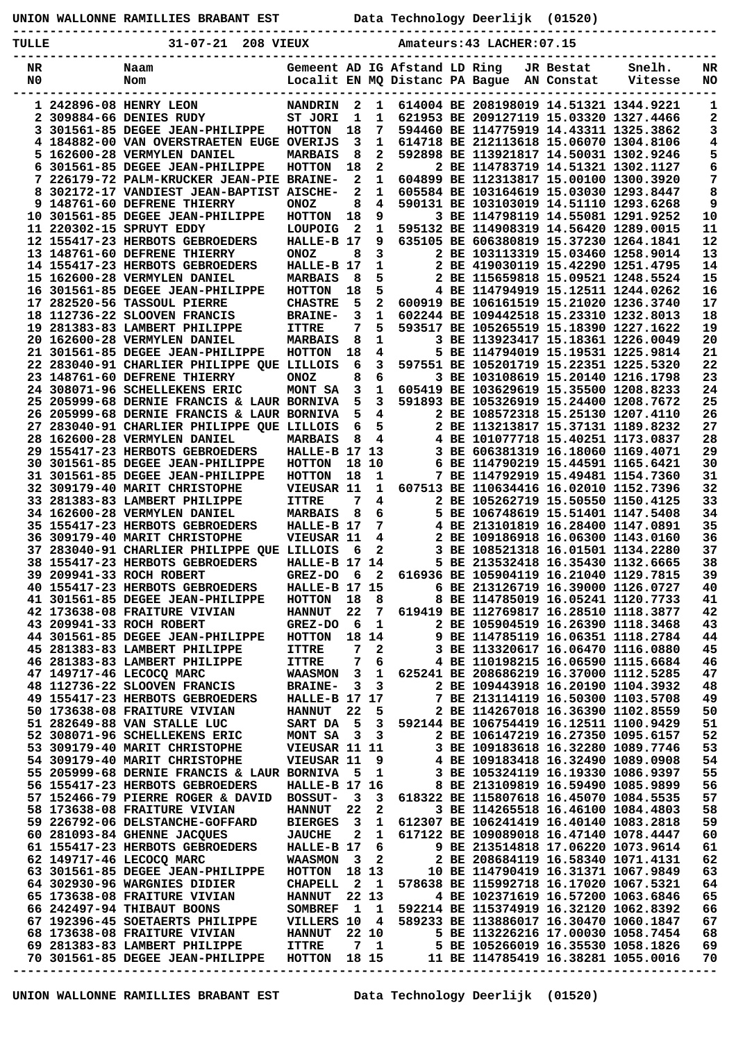| UNION WALLONNE RAMILLIES BRABANT EST |  |  |  |
|--------------------------------------|--|--|--|
|--------------------------------------|--|--|--|

**UNION WALLONNE RAMILLIES BRABANT EST Data Technology Deerlijk (01520)**

**-----------------------------------------------------------------------------------------------**

| TULLE                | $31 - 07 - 21$<br>208 VIEUX                                                  |                                                                 |                              |                         |  | Amateurs: 43 LACHER: 07.15 |                         |                                                                                  |                 |
|----------------------|------------------------------------------------------------------------------|-----------------------------------------------------------------|------------------------------|-------------------------|--|----------------------------|-------------------------|----------------------------------------------------------------------------------|-----------------|
| NR<br>N <sub>0</sub> | Naam<br>Nom                                                                  | Gemeent AD IG Afstand LD Ring<br>Localit EN MQ Distanc PA Bague |                              |                         |  |                            | JR Bestat<br>AN Constat | Snelh.<br>Vitesse                                                                | NR<br><b>NO</b> |
|                      | 1 242896-08 HENRY LEON                                                       | <b>NANDRIN</b>                                                  | 2                            | 1                       |  |                            |                         | 614004 BE 208198019 14.51321 1344.9221                                           | 1               |
|                      | 2 309884-66 DENIES RUDY                                                      | ST JORI                                                         | 1                            | 1                       |  |                            |                         | 621953 BE 209127119 15.03320 1327.4466                                           | 2               |
|                      | 3 301561-85 DEGEE JEAN-PHILIPPE                                              | <b>HOTTON</b>                                                   | 18                           | 7                       |  |                            |                         | 594460 BE 114775919 14.43311 1325.3862                                           | 3               |
|                      | 4 184882-00 VAN OVERSTRAETEN EUGE OVERIJS                                    |                                                                 | 3                            | 1                       |  |                            |                         | 614718 BE 212113618 15.06070 1304.8106                                           | 4               |
|                      | 5 162600-28 VERMYLEN DANIEL                                                  | <b>MARBAIS</b>                                                  | 8                            | $\overline{2}$          |  |                            |                         | 592898 BE 113921817 14.50031 1302.9246                                           | 5               |
| 6                    | 301561-85 DEGEE JEAN-PHILIPPE                                                | <b>HOTTON</b>                                                   | 18                           | 2                       |  |                            |                         | 2 BE 114783719 14.51321 1302.1127                                                | 6               |
| 8                    | 7 226179-72 PALM-KRUCKER JEAN-PIE BRAINE-<br>302172-17 VANDIEST JEAN-BAPTIST | <b>AISCHE-</b>                                                  | 2<br>$\mathbf{2}$            | 1<br>1                  |  |                            |                         | 604899 BE 112313817 15.00100 1300.3920<br>605584 BE 103164619 15.03030 1293.8447 | 7<br>8          |
|                      | 9 148761-60 DEFRENE THIERRY                                                  | <b>ONOZ</b>                                                     | 8                            | 4                       |  |                            |                         | 590131 BE 103103019 14.51110 1293.6268                                           | 9               |
|                      | 10 301561-85 DEGEE JEAN-PHILIPPE                                             | <b>HOTTON</b>                                                   | 18                           | 9                       |  |                            |                         | 3 BE 114798119 14.55081 1291.9252                                                | 10              |
|                      | 11 220302-15 SPRUYT EDDY                                                     | <b>LOUPOIG</b>                                                  | $\mathbf{2}$                 | 1                       |  |                            |                         | 595132 BE 114908319 14.56420 1289.0015                                           | 11              |
|                      | 12 155417-23 HERBOTS GEBROEDERS                                              | HALLE-B 17                                                      |                              | 9                       |  |                            |                         | 635105 BE 606380819 15.37230 1264.1841                                           | 12              |
|                      | 13 148761-60 DEFRENE THIERRY                                                 | <b>ONOZ</b>                                                     | 8                            | 3                       |  |                            |                         | 2 BE 103113319 15.03460 1258.9014                                                | 13              |
|                      | 14 155417-23 HERBOTS GEBROEDERS                                              | HALLE-B 17                                                      |                              | 1                       |  |                            |                         | 2 BE 419030119 15.42290 1251.4795                                                | 14              |
|                      | 15 162600-28 VERMYLEN DANIEL<br>16 301561-85 DEGEE JEAN-PHILIPPE             | <b>MARBAIS</b><br><b>HOTTON</b>                                 | 8<br>18                      | 5<br>5                  |  |                            |                         | 2 BE 115659818 15.09521 1248.5524<br>4 BE 114794919 15.12511 1244.0262           | 15<br>16        |
|                      | 17 282520-56 TASSOUL PIERRE                                                  | <b>CHASTRE</b>                                                  | 5                            | 2                       |  |                            |                         | 600919 BE 106161519 15.21020 1236.3740                                           | 17              |
|                      | 18 112736-22 SLOOVEN FRANCIS                                                 | <b>BRAINE-</b>                                                  | 3                            | 1                       |  |                            |                         | 602244 BE 109442518 15.23310 1232.8013                                           | 18              |
|                      | 19 281383-83 LAMBERT PHILIPPE                                                | <b>ITTRE</b>                                                    | 7                            | 5                       |  |                            |                         | 593517 BE 105265519 15.18390 1227.1622                                           | 19              |
|                      | 20 162600-28 VERMYLEN DANIEL                                                 | <b>MARBAIS</b>                                                  | 8                            | 1                       |  |                            |                         | 3 BE 113923417 15.18361 1226.0049                                                | 20              |
|                      | 21 301561-85 DEGEE JEAN-PHILIPPE                                             | <b>HOTTON</b>                                                   | 18                           | 4                       |  |                            |                         | 5 BE 114794019 15.19531 1225.9814                                                | 21              |
|                      | 22 283040-91 CHARLIER PHILIPPE QUE LILLOIS                                   |                                                                 | 6                            | 3                       |  |                            |                         | 597551 BE 105201719 15.22351 1225.5320                                           | 22              |
|                      | 23 148761-60 DEFRENE THIERRY<br>24 308071-96 SCHELLEKENS ERIC                | <b>ONOZ</b>                                                     | 8<br>3                       | 6<br>$\mathbf{1}$       |  |                            |                         | 3 BE 103108619 15.20140 1216.1798<br>605419 BE 103629619 15.35500 1208.8233      | 23<br>24        |
|                      | 25 205999-68 DERNIE FRANCIS & LAUR BORNIVA                                   | MONT SA                                                         | 5                            | $\mathbf{3}$            |  |                            |                         | 591893 BE 105326919 15.24400 1208.7672                                           | 25              |
|                      | 26 205999-68 DERNIE FRANCIS & LAUR BORNIVA                                   |                                                                 | 5                            | 4                       |  |                            |                         | 2 BE 108572318 15.25130 1207.4110                                                | 26              |
|                      | 27 283040-91 CHARLIER PHILIPPE QUE LILLOIS                                   |                                                                 | 6                            | 5                       |  |                            |                         | 2 BE 113213817 15.37131 1189.8232                                                | 27              |
|                      | 28 162600-28 VERMYLEN DANIEL                                                 | <b>MARBAIS</b>                                                  | 8                            | 4                       |  |                            |                         | 4 BE 101077718 15.40251 1173.0837                                                | 28              |
|                      | 29 155417-23 HERBOTS GEBROEDERS                                              | <b>HALLE-B 17 13</b>                                            |                              |                         |  |                            |                         | 3 BE 606381319 16.18060 1169.4071                                                | 29              |
|                      | 30 301561-85 DEGEE JEAN-PHILIPPE                                             | <b>HOTTON</b>                                                   |                              | 18 10                   |  |                            |                         | 6 BE 114790219 15.44591 1165.6421                                                | 30              |
|                      | 31 301561-85 DEGEE JEAN-PHILIPPE                                             | <b>HOTTON</b>                                                   | 18                           | 1                       |  |                            |                         | 7 BE 114792919 15.49481 1154.7360                                                | 31              |
|                      | 32 309179-40 MARIT CHRISTOPHE                                                | VIEUSAR 11                                                      | 7                            | 1                       |  |                            |                         | 607513 BE 110634416 16.02010 1152.7396                                           | 32              |
|                      | 33 281383-83 LAMBERT PHILIPPE<br>34 162600-28 VERMYLEN DANIEL                | <b>ITTRE</b><br><b>MARBAIS</b>                                  | 8                            | 4<br>6                  |  |                            |                         | 2 BE 105262719 15.50550 1150.4125<br>5 BE 106748619 15.51401 1147.5408           | 33<br>34        |
|                      | 35 155417-23 HERBOTS GEBROEDERS                                              | HALLE-B 17                                                      |                              | 7                       |  |                            |                         | 4 BE 213101819 16.28400 1147.0891                                                | 35              |
|                      | 36 309179-40 MARIT CHRISTOPHE                                                | VIEUSAR 11                                                      |                              | 4                       |  |                            |                         | 2 BE 109186918 16.06300 1143.0160                                                | 36              |
|                      | 37 283040-91 CHARLIER PHILIPPE QUE LILLOIS                                   |                                                                 | 6                            | 2                       |  |                            |                         | 3 BE 108521318 16.01501 1134.2280                                                | 37              |
|                      | 38 155417-23 HERBOTS GEBROEDERS                                              | HALLE-B 17 14                                                   |                              |                         |  |                            |                         | 5 BE 213532418 16.35430 1132.6665                                                | 38              |
|                      | 39 209941-33 ROCH ROBERT                                                     | GREZ-DO                                                         | 6                            | 2                       |  |                            |                         | 616936 BE 105904119 16.21040 1129.7815                                           | 39              |
|                      | 40 155417-23 HERBOTS GEBROEDERS                                              | HALLE-B 17 15                                                   |                              |                         |  |                            |                         | 6 BE 213126719 16.39000 1126.0727                                                | 40              |
|                      | 41 301561-85 DEGEE JEAN-PHILIPPE                                             | <b>HOTTON</b>                                                   | 18                           | 8                       |  |                            |                         | 8 BE 114785019 16.05241 1120.7733<br>619419 BE 112769817 16.28510 1118.3877      | 41<br>42        |
|                      | 42 173638-08 FRAITURE VIVIAN<br>43 209941-33 ROCH ROBERT                     | <b>HANNUT</b><br><b>GREZ-DO</b>                                 | 22<br>- 6                    | 7<br>1                  |  |                            |                         | 2 BE 105904519 16.26390 1118.3468                                                | 43              |
|                      | 44 301561-85 DEGEE JEAN-PHILIPPE                                             | <b>HOTTON</b>                                                   |                              | 18 14                   |  |                            |                         | 9 BE 114785119 16.06351 1118.2784                                                | 44              |
|                      | 45 281383-83 LAMBERT PHILIPPE                                                | <b>ITTRE</b>                                                    | 7                            | 2                       |  |                            |                         | 3 BE 113320617 16.06470 1116.0880                                                | 45              |
|                      | 46 281383-83 LAMBERT PHILIPPE                                                | <b>ITTRE</b>                                                    | 7                            | 6                       |  |                            |                         | 4 BE 110198215 16.06590 1115.6684                                                | 46              |
|                      | 47 149717-46 LECOCO MARC                                                     | WAASMON 3                                                       |                              | 1                       |  |                            |                         | 625241 BE 208686219 16.37000 1112.5285                                           | 47              |
|                      | 48 112736-22 SLOOVEN FRANCIS                                                 | <b>BRAINE-</b>                                                  | 3                            | 3                       |  |                            |                         | 2 BE 109443918 16.20190 1104.3932                                                | 48              |
|                      | 49 155417-23 HERBOTS GEBROEDERS                                              | HALLE-B 17 17                                                   |                              |                         |  |                            |                         | 7 BE 213114119 16.50300 1103.5708                                                | 49              |
|                      | 50 173638-08 FRAITURE VIVIAN<br>51 282649-88 VAN STALLE LUC                  | <b>HANNUT</b><br>SART DA                                        | 22<br>- 5                    | 5<br>3                  |  |                            |                         | 2 BE 114267018 16.36390 1102.8559<br>592144 BE 106754419 16.12511 1100.9429      | 50<br>51        |
|                      | 52 308071-96 SCHELLEKENS ERIC                                                | MONT SA                                                         | $\overline{\mathbf{3}}$      | 3                       |  |                            |                         | 2 BE 106147219 16.27350 1095.6157                                                | 52              |
|                      | 53 309179-40 MARIT CHRISTOPHE                                                | VIEUSAR 11 11                                                   |                              |                         |  |                            |                         | 3 BE 109183618 16.32280 1089.7746                                                | 53              |
|                      | 54 309179-40 MARIT CHRISTOPHE                                                | VIEUSAR 11                                                      |                              | 9                       |  |                            |                         | 4 BE 109183418 16.32490 1089.0908                                                | 54              |
|                      | 55 205999-68 DERNIE FRANCIS & LAUR BORNIVA                                   |                                                                 | - 5                          | 1                       |  |                            |                         | 3 BE 105324119 16.19330 1086.9397                                                | 55              |
|                      | 56 155417-23 HERBOTS GEBROEDERS                                              | HALLE-B 17 16                                                   |                              |                         |  |                            |                         | 8 BE 213109819 16.59490 1085.9899                                                | 56              |
|                      | 57 152466-79 PIERRE ROGER & DAVID                                            | BOSSUT-                                                         | $_{3}$                       | 3                       |  |                            |                         | 618322 BE 115807618 16.45070 1084.5535                                           | 57              |
|                      | 58 173638-08 FRAITURE VIVIAN                                                 | <b>HANNUT</b>                                                   | 22                           | 2                       |  |                            |                         | 3 BE 114265518 16.46100 1084.4803                                                | 58              |
|                      | 59 226792-06 DELSTANCHE-GOFFARD<br>60 281093-84 GHENNE JACQUES               | <b>BIERGES</b><br><b>JAUCHE</b>                                 | $\overline{\mathbf{3}}$<br>2 | 1<br>1                  |  |                            |                         | 612307 BE 106241419 16.40140 1083.2818<br>617122 BE 109089018 16.47140 1078.4447 | 59<br>60        |
|                      | 61 155417-23 HERBOTS GEBROEDERS                                              | HALLE-B 17                                                      |                              | 6                       |  |                            |                         | 9 BE 213514818 17.06220 1073.9614                                                | 61              |
|                      | 62 149717-46 LECOCO MARC                                                     | <b>WAASMON</b>                                                  | $\overline{\mathbf{3}}$      | $\mathbf{2}$            |  |                            |                         | 2 BE 208684119 16.58340 1071.4131                                                | 62              |
|                      | 63 301561-85 DEGEE JEAN-PHILIPPE                                             | <b>HOTTON</b>                                                   | 18 13                        |                         |  |                            |                         | 10 BE 114790419 16.31371 1067.9849                                               | 63              |
|                      | 64 302930-96 WARGNIES DIDIER                                                 | <b>CHAPELL</b>                                                  | - 2                          | $\mathbf{1}$            |  |                            |                         | 578638 BE 115992718 16.17020 1067.5321                                           | 64              |
|                      | 65 173638-08 FRAITURE VIVIAN                                                 | <b>HANNUT</b>                                                   |                              | 22 13                   |  |                            |                         | 4 BE 102371619 16.57200 1063.6846                                                | 65              |
|                      | 66 242497-94 THIBAUT BOONS                                                   | <b>SOMBREF</b>                                                  | $\mathbf{1}$                 | - 1                     |  |                            |                         | 592214 BE 115374919 16.32120 1062.8392                                           | 66              |
|                      | 67 192396-45 SOETAERTS PHILIPPE                                              | VILLERS 10 4                                                    |                              |                         |  |                            |                         | 589233 BE 113886017 16.30470 1060.1847                                           | 67              |
|                      | 68 173638-08 FRAITURE VIVIAN                                                 | <b>HANNUT</b>                                                   |                              | 22 10                   |  |                            |                         | 5 BE 113226216 17.00030 1058.7454                                                | 68              |
|                      | 69 281383-83 LAMBERT PHILIPPE<br>70 301561-85 DEGEE JEAN-PHILIPPE            | <b>ITTRE</b><br><b>HOTTON</b>                                   |                              | 7 <sub>1</sub><br>18 15 |  |                            |                         | 5 BE 105266019 16.35530 1058.1826<br>11 BE 114785419 16.38281 1055.0016          | 69<br>70        |
|                      |                                                                              |                                                                 |                              |                         |  |                            |                         |                                                                                  |                 |
|                      |                                                                              |                                                                 |                              |                         |  |                            |                         |                                                                                  |                 |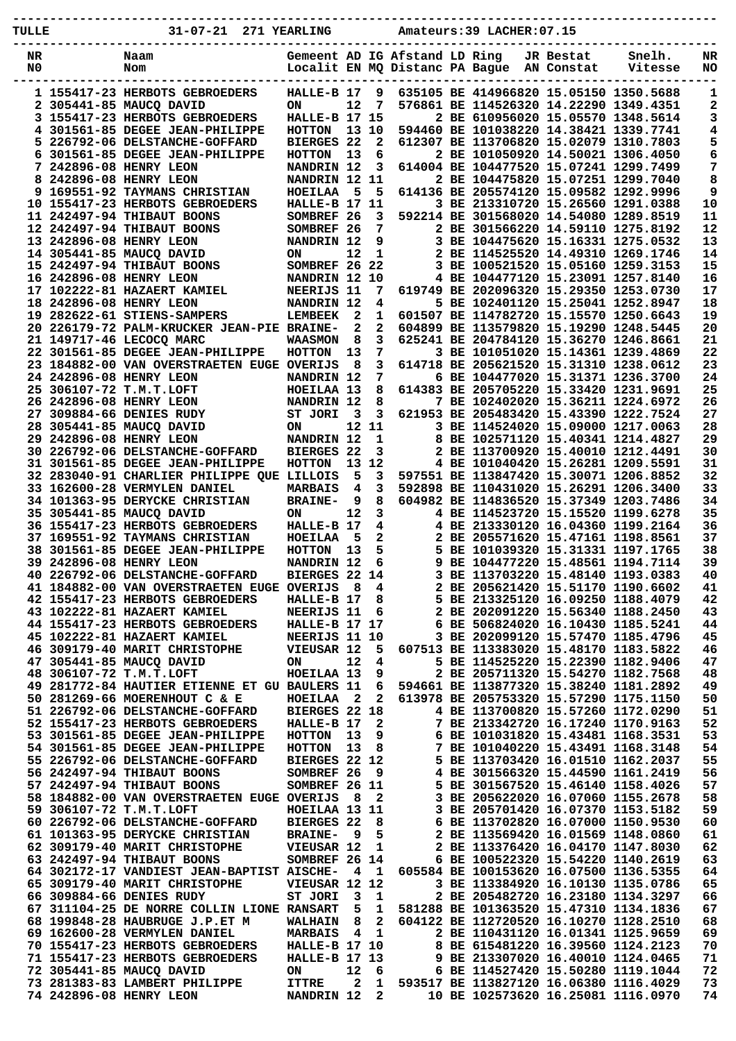| TULLE    | 31-07-21 271 YEARLING                                                          |                                                                 |                      |                     |   | Amateurs: 39 LACHER: 07.15                                                       |                         |                   |          |
|----------|--------------------------------------------------------------------------------|-----------------------------------------------------------------|----------------------|---------------------|---|----------------------------------------------------------------------------------|-------------------------|-------------------|----------|
|          |                                                                                |                                                                 |                      |                     |   |                                                                                  |                         |                   |          |
| NR<br>N0 | Naam<br>Nom                                                                    | Gemeent AD IG Afstand LD Ring<br>Localit EN MQ Distanc PA Bague |                      |                     |   |                                                                                  | JR Bestat<br>AN Constat | Snelh.<br>Vitesse | NR<br>NO |
|          |                                                                                |                                                                 |                      |                     |   |                                                                                  |                         |                   |          |
|          | 1 155417-23 HERBOTS GEBROEDERS                                                 | HALLE-B 17                                                      |                      | 9                   |   | 635105 BE 414966820 15.05150 1350.5688                                           |                         |                   | 1        |
|          | 2 305441-85 MAUCO DAVID                                                        | <b>ON</b>                                                       | 12                   | 7                   |   | 576861 BE 114526320 14.22290 1349.4351                                           |                         |                   | 2        |
|          | 3 155417-23 HERBOTS GEBROEDERS                                                 | HALLE-B 17 15                                                   |                      |                     |   | 2 BE 610956020 15.05570 1348.5614                                                |                         |                   | 3        |
| 4        | 301561-85 DEGEE JEAN-PHILIPPE<br>5 226792-06 DELSTANCHE-GOFFARD                | HOTTON<br>BIERGES 22                                            | 13 10                | $\mathbf{2}$        |   | 594460 BE 101038220 14.38421 1339.7741<br>612307 BE 113706820 15.02079 1310.7803 |                         |                   | 4<br>5   |
|          | 6 301561-85 DEGEE JEAN-PHILIPPE                                                | <b>HOTTON</b>                                                   | 13                   | 6                   |   | 2 BE 101050920 14.50021 1306.4050                                                |                         |                   | 6        |
|          | 7 242896-08 HENRY LEON                                                         | NANDRIN 12                                                      |                      | 3                   |   | 614004 BE 104477520 15.07241 1299.7499                                           |                         |                   | 7        |
|          | 8 242896-08 HENRY LEON                                                         | NANDRIN 12 11                                                   |                      |                     |   | 2 BE 104475820 15.07251 1299.7040                                                |                         |                   | 8        |
|          | <b>9 169551-92 TAYMANS CHRISTIAN</b>                                           | <b>HOEILAA</b>                                                  | 5                    | 5                   |   | 614136 BE 205574120 15.09582 1292.9996                                           |                         |                   | 9        |
|          | 10 155417-23 HERBOTS GEBROEDERS                                                | HALLE-B 17 11                                                   |                      |                     |   | 3 BE 213310720 15.26560 1291.0388                                                |                         |                   | 10       |
|          | 11 242497-94 THIBAUT BOONS<br>12 242497-94 THIBAUT BOONS                       | SOMBREF 26<br>SOMBREF 26                                        |                      | 3<br>7              |   | 592214 BE 301568020 14.54080 1289.8519<br>2 BE 301566220 14.59110 1275.8192      |                         |                   | 11<br>12 |
|          | 13 242896-08 HENRY LEON                                                        | NANDRIN 12                                                      |                      | 9                   |   | 3 BE 104475620 15.16331 1275.0532                                                |                         |                   | 13       |
|          | 14 305441-85 MAUCO DAVID                                                       | <b>ON</b>                                                       | 12                   | 1                   |   | 2 BE 114525520 14.49310 1269.1746                                                |                         |                   | 14       |
|          | 15 242497-94 THIBAUT BOONS                                                     | SOMBREF 26 22                                                   |                      |                     |   | 3 BE 100521520 15.05160 1259.3153                                                |                         |                   | 15       |
|          | 16 242896-08 HENRY LEON                                                        | NANDRIN 12 10                                                   |                      |                     |   | 4 BE 104477120 15.23091 1257.8140                                                |                         |                   | 16       |
|          | 17 102222-81 HAZAERT KAMIEL                                                    | NEERIJS 11                                                      |                      | 7                   |   | 619749 BE 202096320 15.29350 1253.0730                                           |                         |                   | 17       |
|          | 18 242896-08 HENRY LEON<br>19 282622-61 STIENS-SAMPERS                         | NANDRIN 12<br><b>LEMBEEK</b>                                    | $\mathbf{2}$         | 4<br>1              |   | 5 BE 102401120 15.25041 1252.8947<br>601507 BE 114782720 15.15570 1250.6643      |                         |                   | 18<br>19 |
|          | 20 226179-72 PALM-KRUCKER JEAN-PIE BRAINE-                                     |                                                                 | $\mathbf{2}$         | $\mathbf{2}$        |   | 604899 BE 113579820 15.19290 1248.5445                                           |                         |                   | 20       |
|          | 21 149717-46 LECOCO MARC                                                       | <b>WAASMON</b>                                                  | 8                    | 3                   |   | 625241 BE 204784120 15.36270 1246.8661                                           |                         |                   | 21       |
|          | 22 301561-85 DEGEE JEAN-PHILIPPE                                               | <b>HOTTON</b>                                                   | 13                   | 7                   |   | 3 BE 101051020 15.14361 1239.4869                                                |                         |                   | 22       |
|          | 23 184882-00 VAN OVERSTRAETEN EUGE OVERIJS                                     |                                                                 | - 8                  | 3                   |   | 614718 BE 205621520 15.31310 1238.0612                                           |                         |                   | 23       |
|          | 24 242896-08 HENRY LEON<br>25 306107-72 T.M.T.LOFT                             | NANDRIN 12                                                      |                      | 7<br>8              |   | 6 BE 104477020 15.31371 1236.3700<br>614383 BE 205705220 15.33420 1231.9691      |                         |                   | 24<br>25 |
|          | 26 242896-08 HENRY LEON                                                        | HOEILAA 13<br>NANDRIN 12                                        |                      | 8                   |   | 7 BE 102402020 15.36211 1224.6972                                                |                         |                   | 26       |
|          | 27 309884-66 DENIES RUDY                                                       | ST JORI                                                         | 3                    | 3                   |   | 621953 BE 205483420 15.43390 1222.7524                                           |                         |                   | 27       |
|          | 28 305441-85 MAUCQ DAVID                                                       | ON                                                              | 12 11                |                     |   | 3 BE 114524020 15.09000 1217.0063                                                |                         |                   | 28       |
|          | 29 242896-08 HENRY LEON                                                        | NANDRIN 12                                                      |                      | 1                   |   | 8 BE 102571120 15.40341 1214.4827                                                |                         |                   | 29       |
|          | 30 226792-06 DELSTANCHE-GOFFARD                                                | BIERGES 22                                                      |                      | 3                   |   | 2 BE 113700920 15.40010 1212.4491                                                |                         |                   | 30       |
|          | 31 301561-85 DEGEE JEAN-PHILIPPE<br>32 283040-91 CHARLIER PHILIPPE QUE LILLOIS | <b>HOTTON</b>                                                   | 13 <sup>7</sup><br>5 | 12<br>3             |   | 4 BE 101040420 15.26281 1209.5591<br>597551 BE 113847420 15.30071 1206.8852      |                         |                   | 31<br>32 |
|          | 33 162600-28 VERMYLEN DANIEL                                                   | <b>MARBAIS</b>                                                  | 4                    | 3                   |   | 592898 BE 110431020 15.26291 1206.3400                                           |                         |                   | 33       |
|          | 34 101363-95 DERYCKE CHRISTIAN                                                 | <b>BRAINE-</b>                                                  | 9                    | 8                   |   | 604982 BE 114836520 15.37349 1203.7486                                           |                         |                   | 34       |
|          | 35 305441-85 MAUCQ DAVID                                                       | ON                                                              | $12 \overline{ }$    | 3                   |   | 4 BE 114523720 15.15520 1199.6278                                                |                         |                   | 35       |
|          | 36 155417-23 HERBOTS GEBROEDERS                                                | HALLE-B 17                                                      |                      | 4                   |   | 4 BE 213330120 16.04360 1199.2164                                                |                         |                   | 36       |
|          | 37 169551-92 TAYMANS CHRISTIAN<br>38 301561-85 DEGEE JEAN-PHILIPPE             | <b>HOEILAA</b><br><b>HOTTON</b>                                 | - 5<br>13            | 2<br>5              |   | 2 BE 205571620 15.47161 1198.8561<br>5 BE 101039320 15.31331 1197.1765           |                         |                   | 37<br>38 |
|          | <b>39 242896-08 HENRY LEON</b>                                                 | NANDRIN 12                                                      |                      | 6                   | 9 | BE 104477220 15.48561 1194.7114                                                  |                         |                   | 39       |
|          | 40 226792-06 DELSTANCHE-GOFFARD                                                | BIERGES 22 14                                                   |                      |                     |   | 3 BE 113703220 15.48140 1193.0383                                                |                         |                   | 40       |
|          | 41 184882-00 VAN OVERSTRAETEN EUGE OVERIJS                                     |                                                                 | - 8                  | 4                   |   | 2 BE 205621420 15.51170 1190.6602                                                |                         |                   | 41       |
|          | 42 155417-23 HERBOTS GEBROEDERS                                                | HALLE-B 17                                                      |                      | 8                   |   | 5 BE 213325120 16.09250 1188.4079                                                |                         |                   | 42       |
|          | 43 102222-81 HAZAERT KAMIEL<br>44 155417-23 HERBOTS GEBROEDERS                 | NEERIJS 11<br>HALLE-B 17 17                                     |                      | 6                   |   | 2 BE 202091220 15.56340 1188.2450<br>6 BE 506824020 16.10430 1185.5241           |                         |                   | 43<br>44 |
|          | 45 102222-81 HAZAERT KAMIEL                                                    | NEERIJS 11 10                                                   |                      |                     |   | 3 BE 202099120 15.57470 1185.4796                                                |                         |                   | 45       |
|          | 46 309179-40 MARIT CHRISTOPHE                                                  | VIEUSAR 12                                                      |                      | 5                   |   | 607513 BE 113383020 15.48170 1183.5822                                           |                         |                   | 46       |
|          | 47 305441-85 MAUCO DAVID                                                       | ON.                                                             | 12                   | 4                   |   | 5 BE 114525220 15.22390 1182.9406                                                |                         |                   | 47       |
|          | 48 306107-72 T.M.T.LOFT                                                        | HOEILAA 13                                                      |                      | 9                   |   | 2 BE 205711320 15.54270 1182.7568                                                |                         |                   | 48       |
|          | 49 281772-84 HAUTIER ETIENNE ET GU BAULERS 11<br>50 281269-66 MOERENHOUT C & E | HOEILAA 2                                                       |                      | 6<br>$\overline{2}$ |   | 594661 BE 113877320 15.38240 1181.2892<br>613978 BE 205753320 15.57290 1175.1150 |                         |                   | 49<br>50 |
|          | 51 226792-06 DELSTANCHE-GOFFARD                                                | BIERGES 22 18                                                   |                      |                     |   | 4 BE 113700820 15.57260 1172.0290                                                |                         |                   | 51       |
|          | 52 155417-23 HERBOTS GEBROEDERS                                                | HALLE-B 17                                                      |                      | 2                   |   | 7 BE 213342720 16.17240 1170.9163                                                |                         |                   | 52       |
|          | 53 301561-85 DEGEE JEAN-PHILIPPE                                               | <b>HOTTON</b>                                                   | 13                   | 9                   |   | 6 BE 101031820 15.43481 1168.3531                                                |                         |                   | 53       |
|          | 54 301561-85 DEGEE JEAN-PHILIPPE                                               | <b>HOTTON</b>                                                   | 13                   | 8                   |   | 7 BE 101040220 15.43491 1168.3148                                                |                         |                   | 54       |
|          | 55 226792-06 DELSTANCHE-GOFFARD<br>56 242497-94 THIBAUT BOONS                  | BIERGES 22 12                                                   |                      |                     |   | 5 BE 113703420 16.01510 1162.2037<br>4 BE 301566320 15.44590 1161.2419           |                         |                   | 55<br>56 |
|          | 57 242497-94 THIBAUT BOONS                                                     | SOMBREF 26<br>SOMBREF 26 11                                     |                      | 9                   |   | 5 BE 301567520 15.46140 1158.4026                                                |                         |                   | 57       |
|          | 58 184882-00 VAN OVERSTRAETEN EUGE OVERIJS                                     |                                                                 | - 8                  | $\mathbf{2}$        |   | 3 BE 205622020 16.07060 1155.2678                                                |                         |                   | 58       |
|          | 59 306107-72 T.M.T.LOFT                                                        | HOEILAA 13 11                                                   |                      |                     |   | 3 BE 205701420 16.07370 1153.5182                                                |                         |                   | 59       |
|          | 60 226792-06 DELSTANCHE-GOFFARD                                                | <b>BIERGES 22</b>                                               |                      | 8                   |   | 6 BE 113702820 16.07000 1150.9530                                                |                         |                   | 60       |
|          | 61 101363-95 DERYCKE CHRISTIAN                                                 | <b>BRAINE-</b>                                                  | - 9                  | 5                   |   | 2 BE 113569420 16.01569 1148.0860                                                |                         |                   | 61       |
|          | 62 309179-40 MARIT CHRISTOPHE<br>63 242497-94 THIBAUT BOONS                    | VIEUSAR 12<br>SOMBREF 26 14                                     |                      | 1                   |   | 2 BE 113376420 16.04170 1147.8030<br>6 BE 100522320 15.54220 1140.2619           |                         |                   | 62<br>63 |
|          | 64 302172-17 VANDIEST JEAN-BAPTIST AISCHE-                                     |                                                                 | $\overline{4}$       | $\mathbf{1}$        |   | 605584 BE 100153620 16.07500 1136.5355                                           |                         |                   | 64       |
|          | 65 309179-40 MARIT CHRISTOPHE                                                  | VIEUSAR 12 12                                                   |                      |                     |   | 3 BE 113384920 16.10130 1135.0786                                                |                         |                   | 65       |
|          | 66 309884-66 DENIES RUDY                                                       | ST JORI                                                         | 3                    | 1                   |   | 2 BE 205482720 16.23180 1134.3297                                                |                         |                   | 66       |
|          | 67 311104-25 DE NORRE COLLIN LIONE RANSART                                     |                                                                 | 5                    | 1                   |   | 581288 BE 101363520 15.47310 1134.1836                                           |                         |                   | 67       |
|          | 68 199848-28 HAUBRUGE J.P.ET M<br>69 162600-28 VERMYLEN DANIEL                 | <b>WALHAIN</b><br><b>MARBAIS</b>                                | 8<br>4               | $\mathbf{2}$<br>1   |   | 604122 BE 112720520 16.10270 1128.2510<br>2 BE 110431120 16.01341 1125.9659      |                         |                   | 68<br>69 |
|          | 70 155417-23 HERBOTS GEBROEDERS                                                | HALLE-B 17 10                                                   |                      |                     |   | 8 BE 615481220 16.39560 1124.2123                                                |                         |                   | 70       |
|          | 71 155417-23 HERBOTS GEBROEDERS                                                | HALLE-B 17 13                                                   |                      |                     |   | 9 BE 213307020 16.40010 1124.0465                                                |                         |                   | 71       |
|          | 72 305441-85 MAUCO DAVID                                                       | ON                                                              | 12                   | 6                   |   | 6 BE 114527420 15.50280 1119.1044                                                |                         |                   | 72       |
|          | 73 281383-83 LAMBERT PHILIPPE<br>74 242896-08 HENRY LEON                       | <b>ITTRE</b><br>NANDRIN 12 2                                    | 2                    | $\mathbf 1$         |   | 593517 BE 113827120 16.06380 1116.4029<br>10 BE 102573620 16.25081 1116.0970     |                         |                   | 73<br>74 |
|          |                                                                                |                                                                 |                      |                     |   |                                                                                  |                         |                   |          |